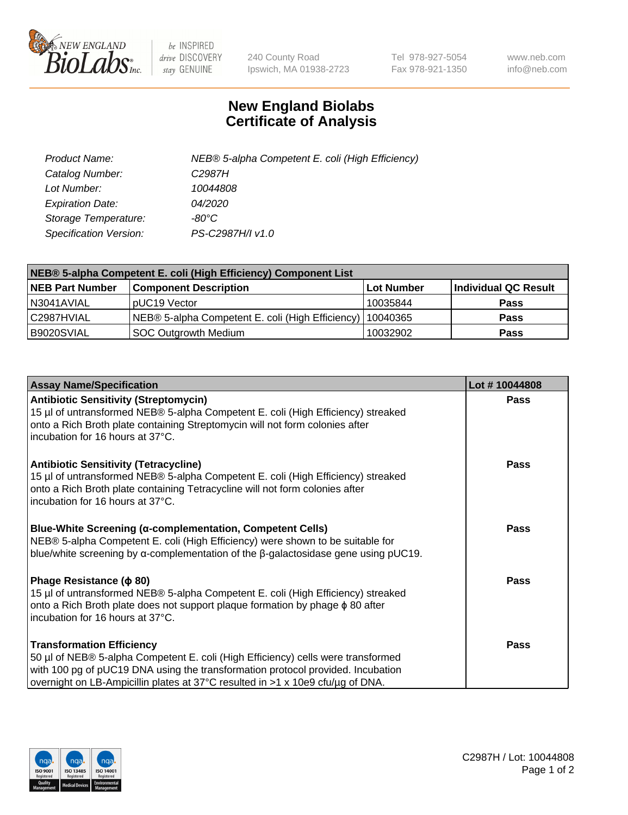

 $be$  INSPIRED drive DISCOVERY stay GENUINE

240 County Road Ipswich, MA 01938-2723 Tel 978-927-5054 Fax 978-921-1350 www.neb.com info@neb.com

## **New England Biolabs Certificate of Analysis**

| Product Name:           | NEB® 5-alpha Competent E. coli (High Efficiency) |
|-------------------------|--------------------------------------------------|
| Catalog Number:         | C <sub>2987</sub> H                              |
| Lot Number:             | 10044808                                         |
| <b>Expiration Date:</b> | <i>04/2020</i>                                   |
| Storage Temperature:    | -80°C                                            |
| Specification Version:  | PS-C2987H/I v1.0                                 |

| NEB® 5-alpha Competent E. coli (High Efficiency) Component List |                                                  |                   |                      |  |
|-----------------------------------------------------------------|--------------------------------------------------|-------------------|----------------------|--|
| <b>NEB Part Number</b>                                          | <b>Component Description</b>                     | <b>Lot Number</b> | Individual QC Result |  |
| N3041AVIAL                                                      | pUC19 Vector                                     | 10035844          | <b>Pass</b>          |  |
| C2987HVIAL                                                      | NEB® 5-alpha Competent E. coli (High Efficiency) | 10040365          | <b>Pass</b>          |  |
| B9020SVIAL                                                      | <b>SOC Outgrowth Medium</b>                      | 10032902          | <b>Pass</b>          |  |

| <b>Assay Name/Specification</b>                                                                                                                                                                                                                                                           | Lot #10044808 |
|-------------------------------------------------------------------------------------------------------------------------------------------------------------------------------------------------------------------------------------------------------------------------------------------|---------------|
| <b>Antibiotic Sensitivity (Streptomycin)</b><br>15 µl of untransformed NEB® 5-alpha Competent E. coli (High Efficiency) streaked<br>onto a Rich Broth plate containing Streptomycin will not form colonies after<br>incubation for 16 hours at 37°C.                                      | <b>Pass</b>   |
| <b>Antibiotic Sensitivity (Tetracycline)</b><br>15 µl of untransformed NEB® 5-alpha Competent E. coli (High Efficiency) streaked<br>onto a Rich Broth plate containing Tetracycline will not form colonies after<br>incubation for 16 hours at 37°C.                                      | Pass          |
| Blue-White Screening (α-complementation, Competent Cells)<br>NEB® 5-alpha Competent E. coli (High Efficiency) were shown to be suitable for<br>blue/white screening by $\alpha$ -complementation of the $\beta$ -galactosidase gene using pUC19.                                          | Pass          |
| Phage Resistance ( $\phi$ 80)<br>15 µl of untransformed NEB® 5-alpha Competent E. coli (High Efficiency) streaked<br>onto a Rich Broth plate does not support plaque formation by phage $\phi$ 80 after<br>incubation for 16 hours at 37°C.                                               | Pass          |
| <b>Transformation Efficiency</b><br>50 µl of NEB® 5-alpha Competent E. coli (High Efficiency) cells were transformed<br>with 100 pg of pUC19 DNA using the transformation protocol provided. Incubation<br>overnight on LB-Ampicillin plates at 37°C resulted in >1 x 10e9 cfu/µg of DNA. | Pass          |